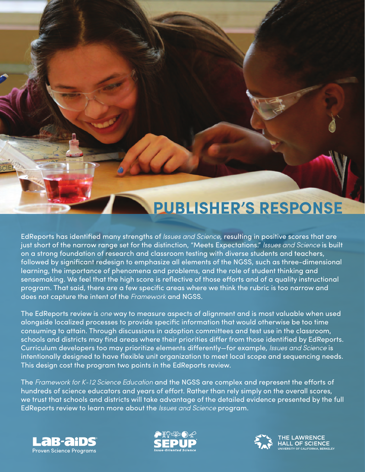# **PUBLISHER'S RESPONSE**

EdReports has identified many strengths of *Issues and Science*, resulting in positive scores that are just short of the narrow range set for the distinction, "Meets Expectations." *Issues and Science* is built on a strong foundation of research and classroom testing with diverse students and teachers, followed by significant redesign to emphasize all elements of the NGSS, such as three-dimensional learning, the importance of phenomena and problems, and the role of student thinking and sensemaking. We feel that the high score is reflective of those efforts and of a quality instructional program. That said, there are a few specific areas where we think the rubric is too narrow and does not capture the intent of the *Framework* and NGSS.

The EdReports review is *one* way to measure aspects of alignment and is most valuable when used alongside localized processes to provide specific information that would otherwise be too time consuming to attain. Through discussions in adoption committees and test use in the classroom, schools and districts may find areas where their priorities differ from those identified by EdReports. Curriculum developers too may prioritize elements differently—for example, *Issues and Science* is intentionally designed to have flexible unit organization to meet local scope and sequencing needs. This design cost the program two points in the EdReports review.

The Framework for K-12 Science Education and the NGSS are complex and represent the efforts of hundreds of science educators and years of effort. Rather than rely simply on the overall scores, we trust that schools and districts will take advantage of the detailed evidence presented by the full EdReports review to learn more about the *Issues and Science* program.







**IE LAWRENCE** ALL OF SCIENCE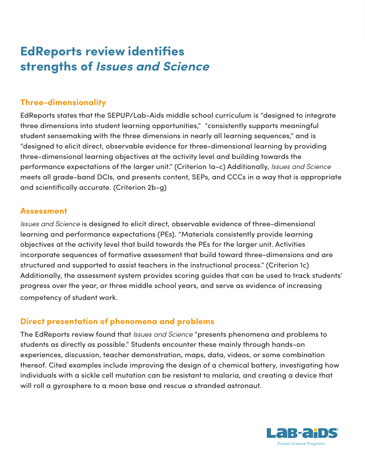# **EdReports review identifies strengths of** *Issues and Science*

#### **Three-dimensionality**

EdReports states that the SEPUP/Lab-Aids middle school curriculum is "designed to integrate three dimensions into student learning opportunities," "consistently supports meaningful student sensemaking with the three dimensions in nearly all learning sequences," and is "designed to elicit direct, observable evidence for three-dimensional learning by providing three-dimensional learning objectives at the activity level and building towards the performance expectations of the larger unit." (Criterion 1a-c) Additionally, *Issues and Science* meets all grade-band DCIs, and presents content, SEPs, and CCCs in a way that is appropriate and scientifically accurate. (Criterion 2b-g)

#### **Assessment**

*Issues and Science* is designed to elicit direct, observable evidence of three-dimensional learning and performance expectations (PEs). "Materials consistently provide learning objectives at the activity level that build towards the PEs for the larger unit. Activities incorporate sequences of formative assessment that build toward three-dimensions and are structured and supported to assist teachers in the instructional process." (Criterion 1c) Additionally, the assessment system provides scoring guides that can be used to track students' progress over the year, or three middle school years, and serve as evidence of increasing competency of student work.

## **Direct presentation of phenomena and problems**

The EdReports review found that *Issues and Science* "presents phenomena and problems to students as directly as possible." Students encounter these mainly through hands-on experiences, discussion, teacher demonstration, maps, data, videos, or some combination thereof. Cited examples include improving the design of a chemical battery, investigating how individuals with a sickle cell mutation can be resistant to malaria, and creating a device that will roll a gyrosphere to a moon base and rescue a stranded astronaut.

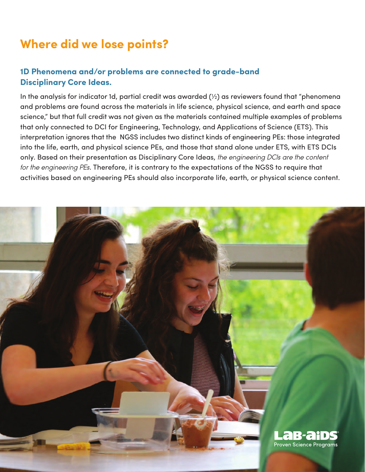# **Where did we lose points?**

#### **1D Phenomena and/or problems are connected to grade-band Disciplinary Core Ideas.**

In the analysis for indicator 1d, partial credit was awarded (½) as reviewers found that "phenomena and problems are found across the materials in life science, physical science, and earth and space science," but that full credit was not given as the materials contained multiple examples of problems that only connected to DCI for Engineering, Technology, and Applications of Science (ETS). This interpretation ignores that the NGSS includes two distinct kinds of engineering PEs: those integrated into the life, earth, and physical science PEs, and those that stand alone under ETS, with ETS DCIs only. Based on their presentation as Disciplinary Core Ideas, *the engineering DCIs are the content for the engineering PEs*. Therefore, it is contrary to the expectations of the NGSS to require that activities based on engineering PEs should also incorporate life, earth, or physical science content.

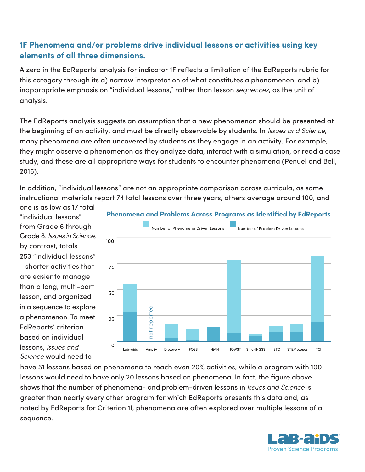## **1F Phenomena and/or problems drive individual lessons or activities using key elements of all three dimensions.**

A zero in the EdReports' analysis for indicator 1F reflects a limitation of the EdReports rubric for this category through its a) narrow interpretation of what constitutes a phenomenon, and b) inappropriate emphasis on "individual lessons," rather than lesson *sequences*, as the unit of analysis.

The EdReports analysis suggests an assumption that a new phenomenon should be presented at the beginning of an activity, and must be directly observable by students. In *Issues and Science*, many phenomena are often uncovered by students as they engage in an activity. For example, they might observe a phenomenon as they analyze data, interact with a simulation, or read a case study, and these are all appropriate ways for students to encounter phenomena (Penuel and Bell, 2016).

In addition, "individual lessons" are not an appropriate comparison across curricula, as some instructional materials report 74 total lessons over three years, others average around 100, and

one is as low as 17 total "individual lessons" from Grade 6 through Grade 8. *Issues in Science*, by contrast, totals 253 "individual lessons" —shorter activities that are easier to manage than a long, multi-part lesson, and organized in a sequence to explore a phenomenon. To meet EdReports' criterion based on individual lessons, *Issues and Science* would need to



#### **Phenomena and Problems Across Programs as Identified by EdReports**

have 51 lessons based on phenomena to reach even 20% activities, while a program with 100 lessons would need to have only 20 lessons based on phenomena. In fact, the figure above shows that the number of phenomena- and problem-driven lessons in *Issues and Science* is greater than nearly every other program for which EdReports presents this data and, as noted by EdReports for Criterion 1I, phenomena are often explored over multiple lessons of a sequence.